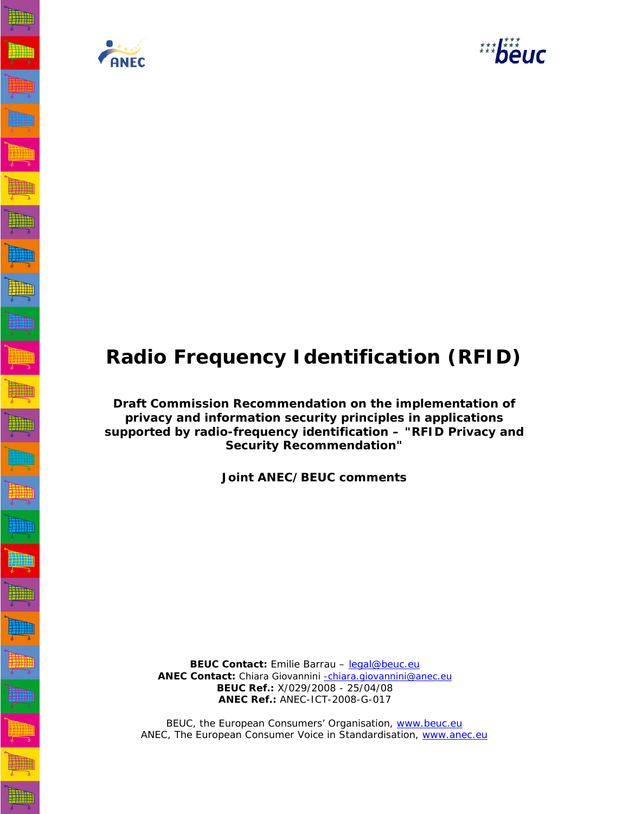



# **Radio Frequency Identification (RFID)**

**Draft Commission Recommendation on the implementation of privacy and information security principles in applications supported by radio-frequency identification – "RFID Privacy and Security Recommendation"** 

**Joint ANEC/BEUC comments**

**BEUC Contact:** Emilie Barrau - legal@beuc.eu ANEC Contact: Chiara Giovannini -chiara.giovannini@anec.eu  **BEUC Ref.:** X/029/2008 - 25/04/08 **ANEC Ref.:** ANEC-ICT-2008-G-017

BEUC, the European Consumers' Organisation, www.beuc.eu ANEC, The European Consumer Voice in Standardisation, www.anec.eu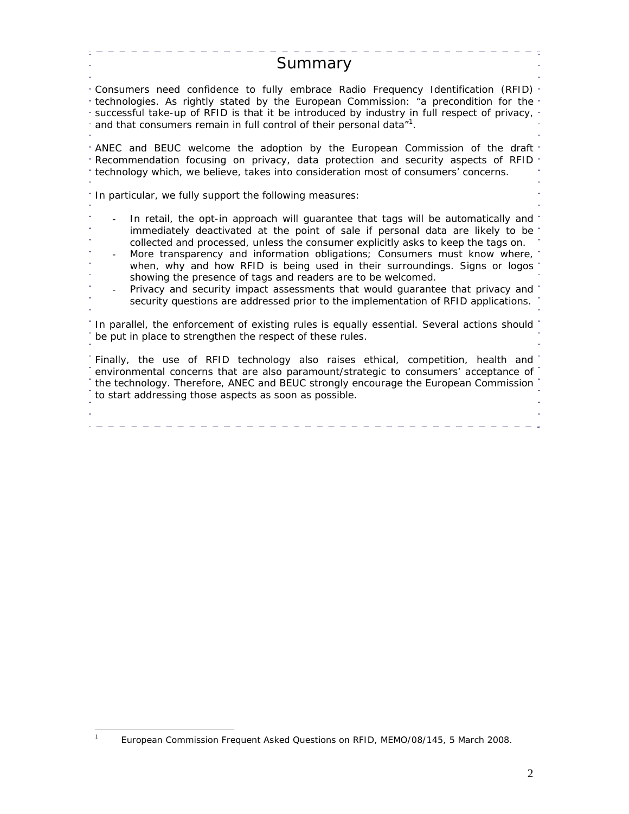| Summary                                                                                                                                                                                                                                                                                                                                                                                                                                                                                                                                                                                                                                                    |
|------------------------------------------------------------------------------------------------------------------------------------------------------------------------------------------------------------------------------------------------------------------------------------------------------------------------------------------------------------------------------------------------------------------------------------------------------------------------------------------------------------------------------------------------------------------------------------------------------------------------------------------------------------|
| Consumers need confidence to fully embrace Radio Frequency Identification (RFID)<br>technologies. As rightly stated by the European Commission: "a precondition for the<br>successful take-up of RFID is that it be introduced by industry in full respect of privacy,<br>and that consumers remain in full control of their personal data" <sup>1</sup> .                                                                                                                                                                                                                                                                                                 |
| ANEC and BEUC welcome the adoption by the European Commission of the draft<br>Recommendation focusing on privacy, data protection and security aspects of RFID<br>technology which, we believe, takes into consideration most of consumers' concerns.                                                                                                                                                                                                                                                                                                                                                                                                      |
| In particular, we fully support the following measures:                                                                                                                                                                                                                                                                                                                                                                                                                                                                                                                                                                                                    |
| In retail, the opt-in approach will guarantee that tags will be automatically and<br>immediately deactivated at the point of sale if personal data are likely to be<br>collected and processed, unless the consumer explicitly asks to keep the tags on.<br>More transparency and information obligations; Consumers must know where,<br>when, why and how RFID is being used in their surroundings. Signs or logos<br>showing the presence of tags and readers are to be welcomed.<br>Privacy and security impact assessments that would guarantee that privacy and<br>security questions are addressed prior to the implementation of RFID applications. |
| In parallel, the enforcement of existing rules is equally essential. Several actions should<br>be put in place to strengthen the respect of these rules.                                                                                                                                                                                                                                                                                                                                                                                                                                                                                                   |
| Finally, the use of RFID technology also raises ethical, competition, health and<br>environmental concerns that are also paramount/strategic to consumers' acceptance of<br>the technology. Therefore, ANEC and BEUC strongly encourage the European Commission<br>to start addressing those aspects as soon as possible.                                                                                                                                                                                                                                                                                                                                  |
|                                                                                                                                                                                                                                                                                                                                                                                                                                                                                                                                                                                                                                                            |

 $\frac{1}{1}$ European Commission Frequent Asked Questions on RFID, MEMO/08/145, 5 March 2008.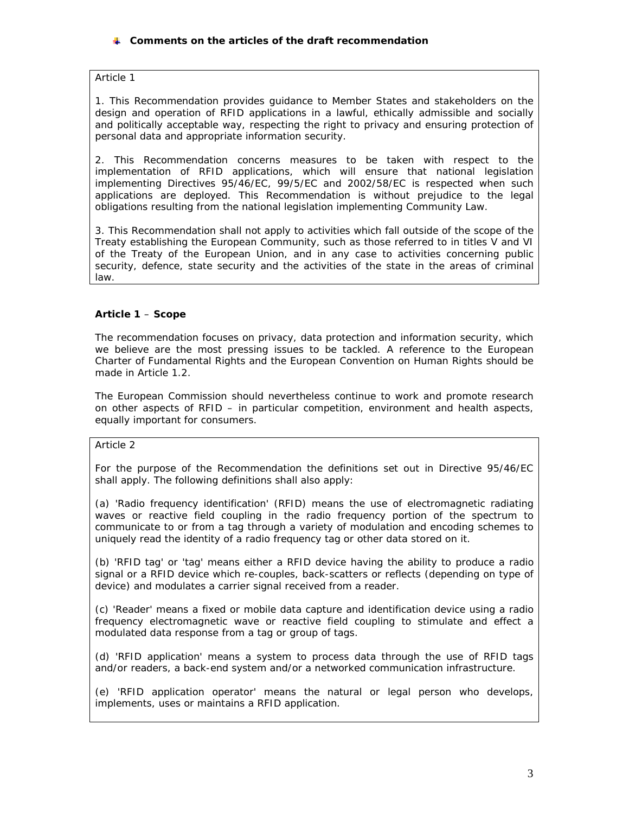# **Comments on the articles of the draft recommendation**

#### *Article 1*

*1. This Recommendation provides guidance to Member States and stakeholders on the design and operation of RFID applications in a lawful, ethically admissible and socially*  and politically acceptable way, respecting the right to privacy and ensuring protection of *personal data and appropriate information security.* 

*2. This Recommendation concerns measures to be taken with respect to the implementation of RFID applications, which will ensure that national legislation implementing Directives 95/46/EC, 99/5/EC and 2002/58/EC is respected when such applications are deployed. This Recommendation is without prejudice to the legal obligations resulting from the national legislation implementing Community Law.* 

*3. This Recommendation shall not apply to activities which fall outside of the scope of the Treaty establishing the European Community, such as those referred to in titles V and VI of the Treaty of the European Union, and in any case to activities concerning public security, defence, state security and the activities of the state in the areas of criminal law.*

# **Article 1** – **Scope**

The recommendation focuses on privacy, data protection and information security, which we believe are the most pressing issues to be tackled. A reference to the European Charter of Fundamental Rights and the European Convention on Human Rights should be made in Article 1.2.

The European Commission should nevertheless continue to work and promote research on other aspects of RFID – in particular competition, environment and health aspects, equally important for consumers.

*Article 2* 

*For the purpose of the Recommendation the definitions set out in Directive 95/46/EC shall apply. The following definitions shall also apply:* 

*(a) 'Radio frequency identification' (RFID) means the use of electromagnetic radiating*  waves or reactive field coupling in the radio frequency portion of the spectrum to *communicate to or from a tag through a variety of modulation and encoding schemes to uniquely read the identity of a radio frequency tag or other data stored on it.* 

*(b) 'RFID tag' or 'tag' means either a RFID device having the ability to produce a radio signal or a RFID device which re-couples, back-scatters or reflects (depending on type of device) and modulates a carrier signal received from a reader.* 

*(c) 'Reader' means a fixed or mobile data capture and identification device using a radio frequency electromagnetic wave or reactive field coupling to stimulate and effect a modulated data response from a tag or group of tags.* 

*(d) 'RFID application' means a system to process data through the use of RFID tags and/or readers, a back-end system and/or a networked communication infrastructure.* 

*(e) 'RFID application operator' means the natural or legal person who develops, implements, uses or maintains a RFID application.*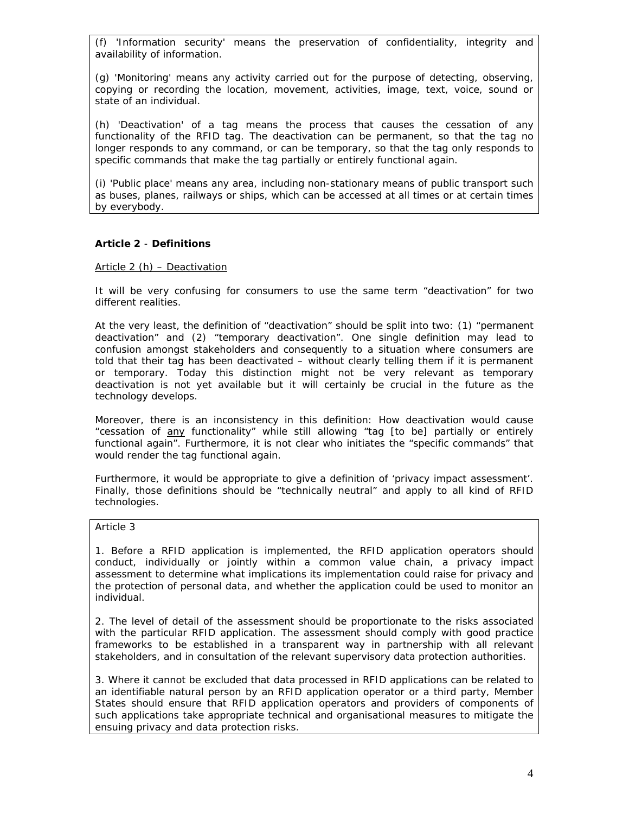*(f) 'Information security' means the preservation of confidentiality, integrity and availability of information.* 

*(g) 'Monitoring' means any activity carried out for the purpose of detecting, observing, copying or recording the location, movement, activities, image, text, voice, sound or state of an individual.* 

*(h) 'Deactivation' of a tag means the process that causes the cessation of any functionality of the RFID tag. The deactivation can be permanent, so that the tag no longer responds to any command, or can be temporary, so that the tag only responds to specific commands that make the tag partially or entirely functional again.* 

*(i) 'Public place' means any area, including non-stationary means of public transport such as buses, planes, railways or ships, which can be accessed at all times or at certain times by everybody.* 

# **Article 2** - **Definitions**

#### Article 2 (h) – Deactivation

It will be very confusing for consumers to use the same term "deactivation" for two different realities.

At the very least, the definition of "deactivation" should be split into two: (1) "permanent deactivation" and (2) "temporary deactivation". One single definition may lead to confusion amongst stakeholders and consequently to a situation where consumers are told that their tag has been deactivated – without clearly telling them if it is permanent or temporary. Today this distinction might not be very relevant as temporary deactivation is not yet available but it will certainly be crucial in the future as the technology develops.

Moreover, there is an inconsistency in this definition: How deactivation would cause "cessation of any functionality" while still allowing "tag [to be] partially or entirely functional again". Furthermore, it is not clear who initiates the "specific commands" that would render the tag functional again.

Furthermore, it would be appropriate to give a definition of 'privacy impact assessment'. Finally, those definitions should be "technically neutral" and apply to all kind of RFID technologies.

#### *Article 3*

*1. Before a RFID application is implemented, the RFID application operators should conduct, individually or jointly within a common value chain, a privacy impact assessment to determine what implications its implementation could raise for privacy and the protection of personal data, and whether the application could be used to monitor an individual.* 

*2. The level of detail of the assessment should be proportionate to the risks associated with the particular RFID application. The assessment should comply with good practice*  frameworks to be established in a transparent way in partnership with all relevant *stakeholders, and in consultation of the relevant supervisory data protection authorities.* 

*3. Where it cannot be excluded that data processed in RFID applications can be related to an identifiable natural person by an RFID application operator or a third party, Member States should ensure that RFID application operators and providers of components of such applications take appropriate technical and organisational measures to mitigate the ensuing privacy and data protection risks.*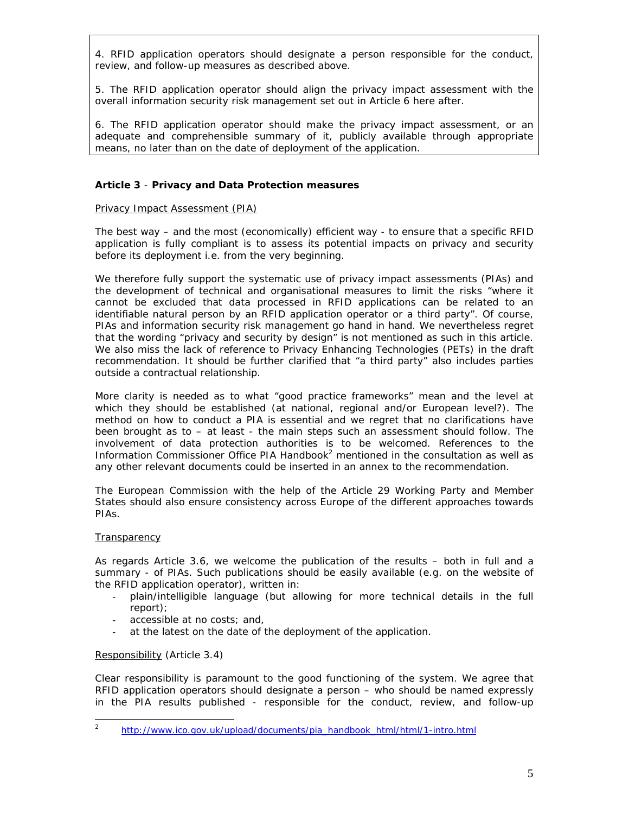*4. RFID application operators should designate a person responsible for the conduct, review, and follow-up measures as described above.* 

*5. The RFID application operator should align the privacy impact assessment with the overall information security risk management set out in Article 6 here after.* 

*6. The RFID application operator should make the privacy impact assessment, or an adequate and comprehensible summary of it, publicly available through appropriate means, no later than on the date of deployment of the application.* 

# **Article 3** - **Privacy and Data Protection measures**

#### Privacy Impact Assessment (PIA)

The best way – and the most (economically) efficient way - to ensure that a specific RFID application is fully compliant is to assess its potential impacts on privacy and security before its deployment i.e. from the very beginning.

We therefore fully support the systematic use of privacy impact assessments (PIAs) and the development of technical and organisational measures to limit the risks "*where it cannot be excluded that data processed in RFID applications can be related to an identifiable natural person by an RFID application operator or a third party*". Of course, PIAs and information security risk management go hand in hand. We nevertheless regret that the wording "privacy and security by design" is not mentioned as such in this article. We also miss the lack of reference to Privacy Enhancing Technologies (PETs) in the draft recommendation. It should be further clarified that "a third party" also includes parties outside a contractual relationship.

More clarity is needed as to what "*good practice frameworks*" mean and the level at which they should be established (at national, regional and/or European level?). The method on how to conduct a PIA is essential and we regret that no clarifications have been brought as to – at least - the main steps such an assessment should follow. The involvement of data protection authorities is to be welcomed. References to the Information Commissioner Office PIA Handbook $2$  mentioned in the consultation as well as any other relevant documents could be inserted in an annex to the recommendation.

The European Commission with the help of the Article 29 Working Party and Member States should also ensure consistency across Europe of the different approaches towards PIAs.

#### **Transparency**

As regards Article 3.6, we welcome the publication of the results – both in full and a summary - of PIAs. Such publications should be easily available (e.g. on the website of the RFID application operator), written in:

- plain/intelligible language (but allowing for more technical details in the full report);
- accessible at no costs; and,
- at the latest on the date of the deployment of the application.

#### Responsibility (Article 3.4)

Clear responsibility is paramount to the good functioning of the system. We agree that RFID application operators should designate a person – who should be named expressly in the PIA results published - responsible for the conduct, review, and follow-up

 $\frac{1}{2}$ http://www.ico.gov.uk/upload/documents/pia\_handbook\_html/html/1-intro.html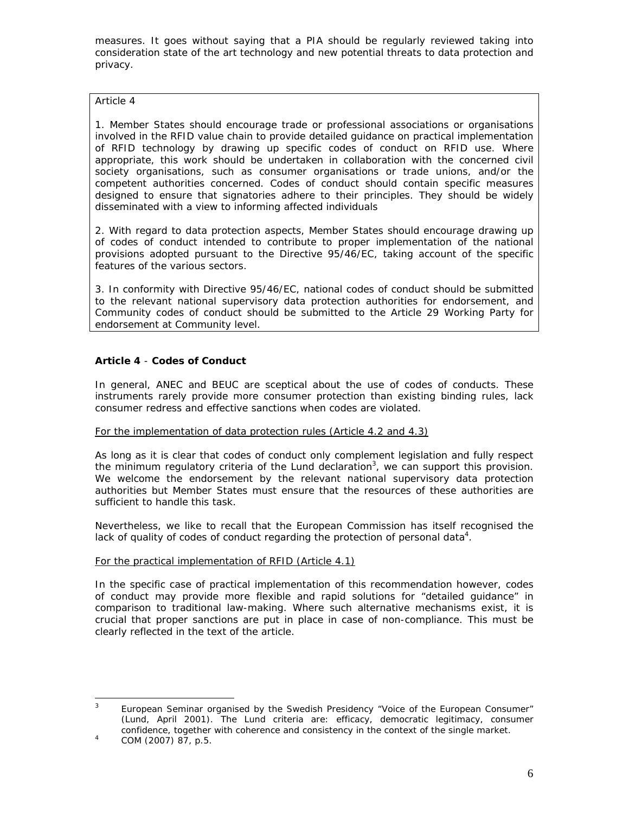measures. It goes without saying that a PIA should be regularly reviewed taking into consideration state of the art technology and new potential threats to data protection and privacy.

# *Article 4*

*1. Member States should encourage trade or professional associations or organisations involved in the RFID value chain to provide detailed guidance on practical implementation of RFID technology by drawing up specific codes of conduct on RFID use. Where*  appropriate, this work should be undertaken in collaboration with the concerned civil *society organisations, such as consumer organisations or trade unions, and/or the competent authorities concerned. Codes of conduct should contain specific measures*  designed to ensure that signatories adhere to their principles. They should be widely *disseminated with a view to informing affected individuals* 

*2. With regard to data protection aspects, Member States should encourage drawing up of codes of conduct intended to contribute to proper implementation of the national provisions adopted pursuant to the Directive 95/46/EC, taking account of the specific features of the various sectors.* 

*3. In conformity with Directive 95/46/EC, national codes of conduct should be submitted to the relevant national supervisory data protection authorities for endorsement, and Community codes of conduct should be submitted to the Article 29 Working Party for endorsement at Community level.* 

# **Article 4** - **Codes of Conduct**

In general, ANEC and BEUC are sceptical about the use of codes of conducts. These instruments rarely provide more consumer protection than existing binding rules, lack consumer redress and effective sanctions when codes are violated.

# For the implementation of data protection rules (Article 4.2 and 4.3)

As long as it is clear that codes of conduct only complement legislation and fully respect the minimum regulatory criteria of the Lund declaration<sup>3</sup>, we can support this provision. We welcome the endorsement by the relevant national supervisory data protection authorities but Member States must ensure that the resources of these authorities are sufficient to handle this task.

Nevertheless, we like to recall that the European Commission has itself recognised the lack of quality of codes of conduct regarding the protection of personal data<sup>4</sup>.

#### For the practical implementation of RFID (Article 4.1)

In the specific case of practical implementation of this recommendation however, codes of conduct may provide more flexible and rapid solutions for "detailed guidance" in comparison to traditional law-making. Where such alternative mechanisms exist, it is crucial that proper sanctions are put in place in case of non-compliance. This must be clearly reflected in the text of the article.

 3 European Seminar organised by the Swedish Presidency "Voice of the European Consumer" (Lund, April 2001). The Lund criteria are: efficacy, democratic legitimacy, consumer confidence, together with coherence and consistency in the context of the single market.

COM (2007) 87, p.5.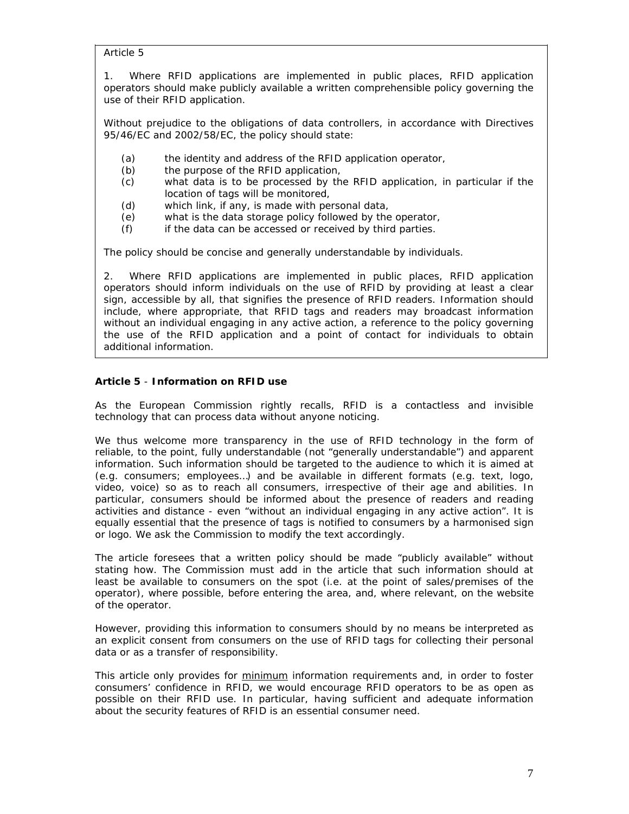*Article 5* 

*1. Where RFID applications are implemented in public places, RFID application operators should make publicly available a written comprehensible policy governing the use of their RFID application.* 

*Without prejudice to the obligations of data controllers, in accordance with Directives 95/46/EC and 2002/58/EC, the policy should state:* 

- *(a) the identity and address of the RFID application operator,*
- *(b) the purpose of the RFID application,*
- *(c) what data is to be processed by the RFID application, in particular if the location of tags will be monitored,*
- *(d) which link, if any, is made with personal data,*
- *(e) what is the data storage policy followed by the operator,*
- *(f) if the data can be accessed or received by third parties.*

*The policy should be concise and generally understandable by individuals.* 

*2. Where RFID applications are implemented in public places, RFID application operators should inform individuals on the use of RFID by providing at least a clear sign, accessible by all, that signifies the presence of RFID readers. Information should include, where appropriate, that RFID tags and readers may broadcast information without an individual engaging in any active action, a reference to the policy governing the use of the RFID application and a point of contact for individuals to obtain additional information.* 

# **Article 5** - **Information on RFID use**

As the European Commission rightly recalls, RFID is a contactless and invisible technology that can process data without anyone noticing.

We thus welcome more transparency in the use of RFID technology in the form of reliable, to the point, fully understandable (not "*generally understandable*") and apparent information. Such information should be targeted to the audience to which it is aimed at (e.g. consumers; employees…) and be available in different formats (e.g. text, logo, video, voice) so as to reach all consumers, irrespective of their age and abilities. In particular, consumers should be informed about the presence of readers and reading activities and distance - even "*without an individual engaging in any active action*". It is equally essential that the presence of tags is notified to consumers by a harmonised sign or logo. We ask the Commission to modify the text accordingly.

The article foresees that a written policy should be made "*publicly available*" without stating how. The Commission must add in the article that such information should at least be available to consumers on the spot (i.e. at the point of sales/premises of the operator), where possible, before entering the area, and, where relevant, on the website of the operator.

However, providing this information to consumers should by no means be interpreted as an explicit consent from consumers on the use of RFID tags for collecting their personal data or as a transfer of responsibility.

This article only provides for minimum information requirements and, in order to foster consumers' confidence in RFID, we would encourage RFID operators to be as open as possible on their RFID use. In particular, having sufficient and adequate information about the security features of RFID is an essential consumer need.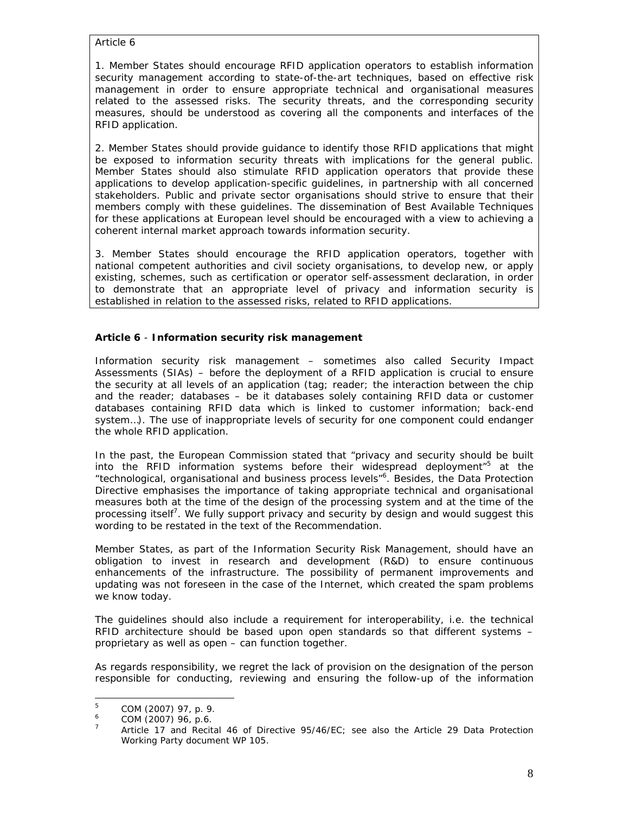*Article 6* 

*1. Member States should encourage RFID application operators to establish information security management according to state-of-the-art techniques, based on effective risk management in order to ensure appropriate technical and organisational measures related to the assessed risks. The security threats, and the corresponding security measures, should be understood as covering all the components and interfaces of the RFID application.* 

*2. Member States should provide guidance to identify those RFID applications that might be exposed to information security threats with implications for the general public. Member States should also stimulate RFID application operators that provide these applications to develop application-specific guidelines, in partnership with all concerned stakeholders. Public and private sector organisations should strive to ensure that their members comply with these guidelines. The dissemination of Best Available Techniques for these applications at European level should be encouraged with a view to achieving a coherent internal market approach towards information security.* 

*3. Member States should encourage the RFID application operators, together with national competent authorities and civil society organisations, to develop new, or apply existing, schemes, such as certification or operator self-assessment declaration, in order to demonstrate that an appropriate level of privacy and information security is established in relation to the assessed risks, related to RFID applications.*

# **Article 6** - **Information security risk management**

Information security risk management – sometimes also called Security Impact Assessments (SIAs) – before the deployment of a RFID application is crucial to ensure the security at all levels of an application (tag; reader; the interaction between the chip and the reader; databases – be it databases solely containing RFID data or customer databases containing RFID data which is linked to customer information; back-end system…). The use of inappropriate levels of security for one component could endanger the whole RFID application.

In the past, the European Commission stated that "*privacy and security should be built into the RFID information systems before their widespread deployment*"5 at the "*technological, organisational and business process levels*"6 . Besides, the Data Protection Directive emphasises the importance of taking appropriate technical and organisational measures both at the time of the design of the processing system and at the time of the processing itself<sup>7</sup>. We fully support privacy and security by design and would suggest this wording to be restated in the text of the Recommendation.

Member States, as part of the Information Security Risk Management, should have an obligation to invest in research and development (R&D) to ensure continuous enhancements of the infrastructure. The possibility of permanent improvements and updating was not foreseen in the case of the Internet, which created the spam problems we know today.

The guidelines should also include a requirement for interoperability, i.e. the technical RFID architecture should be based upon open standards so that different systems – proprietary as well as open – can function together.

As regards responsibility, we regret the lack of provision on the designation of the person responsible for conducting, reviewing and ensuring the follow-up of the information

<sup>|&</sup>lt;br>5 COM (2007) 97, p. 9.

<sup>6</sup> COM (2007) 96, p.6.

<sup>7</sup> Article 17 and Recital 46 of Directive 95/46/EC; see also the Article 29 Data Protection Working Party document WP 105.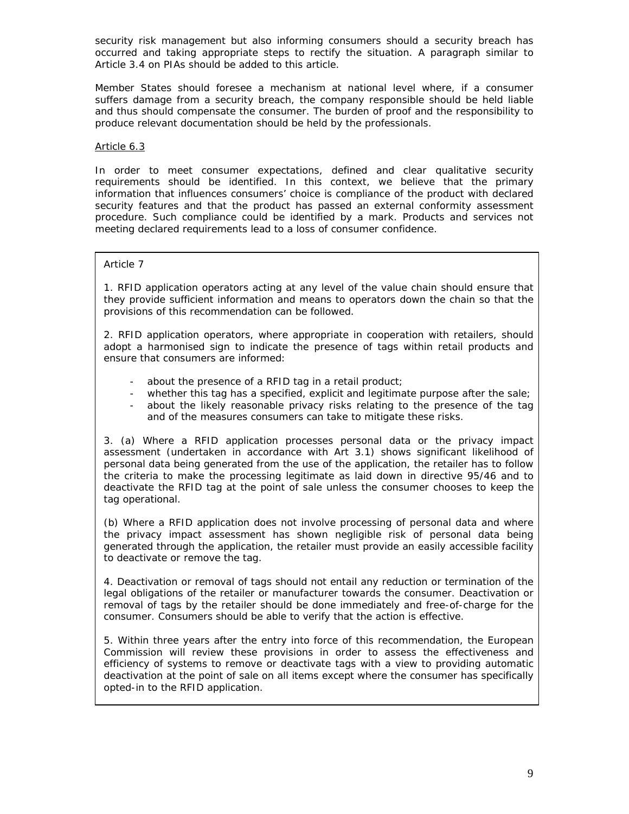security risk management but also informing consumers should a security breach has occurred and taking appropriate steps to rectify the situation. A paragraph similar to Article 3.4 on PIAs should be added to this article.

Member States should foresee a mechanism at national level where, if a consumer suffers damage from a security breach, the company responsible should be held liable and thus should compensate the consumer. The burden of proof and the responsibility to produce relevant documentation should be held by the professionals.

#### Article 6.3

In order to meet consumer expectations, defined and clear qualitative security requirements should be identified. In this context, we believe that the primary information that influences consumers' choice is compliance of the product with declared security features and that the product has passed an external conformity assessment procedure. Such compliance could be identified by a mark. Products and services not meeting declared requirements lead to a loss of consumer confidence.

# *Article 7*

*1. RFID application operators acting at any level of the value chain should ensure that they provide sufficient information and means to operators down the chain so that the provisions of this recommendation can be followed.* 

*2. RFID application operators, where appropriate in cooperation with retailers, should adopt a harmonised sign to indicate the presence of tags within retail products and ensure that consumers are informed:* 

- *about the presence of a RFID tag in a retail product;*
- *whether this tag has a specified, explicit and legitimate purpose after the sale;*
- about the likely reasonable privacy risks relating to the presence of the tag *and of the measures consumers can take to mitigate these risks.*

*3. (a) Where a RFID application processes personal data or the privacy impact assessment (undertaken in accordance with Art 3.1) shows significant likelihood of personal data being generated from the use of the application, the retailer has to follow the criteria to make the processing legitimate as laid down in directive 95/46 and to deactivate the RFID tag at the point of sale unless the consumer chooses to keep the tag operational.* 

*(b) Where a RFID application does not involve processing of personal data and where the privacy impact assessment has shown negligible risk of personal data being generated through the application, the retailer must provide an easily accessible facility to deactivate or remove the tag.* 

*4. Deactivation or removal of tags should not entail any reduction or termination of the*  legal obligations of the retailer or manufacturer towards the consumer. Deactivation or *removal of tags by the retailer should be done immediately and free-of-charge for the consumer. Consumers should be able to verify that the action is effective.* 

*5. Within three years after the entry into force of this recommendation, the European Commission will review these provisions in order to assess the effectiveness and efficiency of systems to remove or deactivate tags with a view to providing automatic deactivation at the point of sale on all items except where the consumer has specifically opted-in to the RFID application.*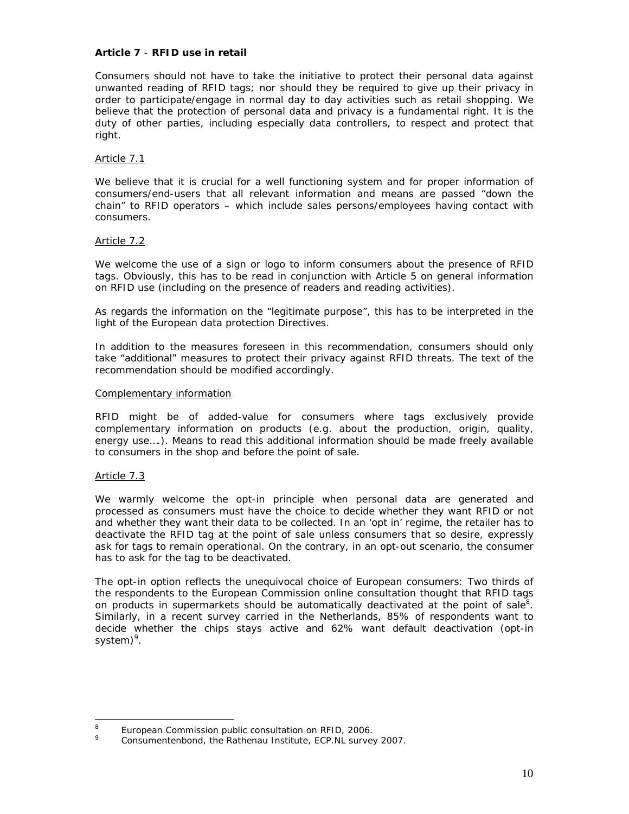#### **Article 7** - **RFID use in retail**

Consumers should not have to take the initiative to protect their personal data against unwanted reading of RFID tags; nor should they be required to give up their privacy in order to participate/engage in normal day to day activities such as retail shopping. We believe that the protection of personal data and privacy is a fundamental right. It is the duty of other parties, including especially data controllers, to respect and protect that right.

# Article 7.1

We believe that it is crucial for a well functioning system and for proper information of consumers/end-users that all relevant information and means are passed "down the chain" to RFID operators – which include sales persons/employees having contact with consumers.

#### Article 7.2

We welcome the use of a sign or logo to inform consumers about the presence of RFID tags. Obviously, this has to be read in conjunction with Article 5 on general information on RFID use (including on the presence of readers and reading activities).

As regards the information on the "*legitimate purpose*", this has to be interpreted in the light of the European data protection Directives.

In addition to the measures foreseen in this recommendation, consumers should only take "additional" measures to protect their privacy against RFID threats. The text of the recommendation should be modified accordingly.

#### Complementary information

RFID might be of added-value for consumers where tags exclusively provide complementary information on products (e.g. about the production, origin, quality, energy use....). Means to read this additional information should be made freely available to consumers in the shop and before the point of sale.

# Article 7.3

We warmly welcome the opt-in principle when personal data are generated and processed as consumers must have the choice to decide whether they want RFID or not and whether they want their data to be collected. In an 'opt in' regime, the retailer has to deactivate the RFID tag at the point of sale unless consumers that so desire, expressly ask for tags to remain operational. On the contrary, in an opt-out scenario, the consumer has to ask for the tag to be deactivated.

The opt-in option reflects the unequivocal choice of European consumers: Two thirds of the respondents to the European Commission online consultation thought that RFID tags on products in supermarkets should be automatically deactivated at the point of sale<sup>8</sup>. Similarly, in a recent survey carried in the Netherlands, 85% of respondents want to decide whether the chips stays active and 62% want default deactivation (opt-in system)<sup>9</sup>.

 $\frac{1}{8}$ European Commission public consultation on RFID, 2006.

<sup>9</sup> Consumentenbond, the Rathenau Institute, ECP.NL survey 2007.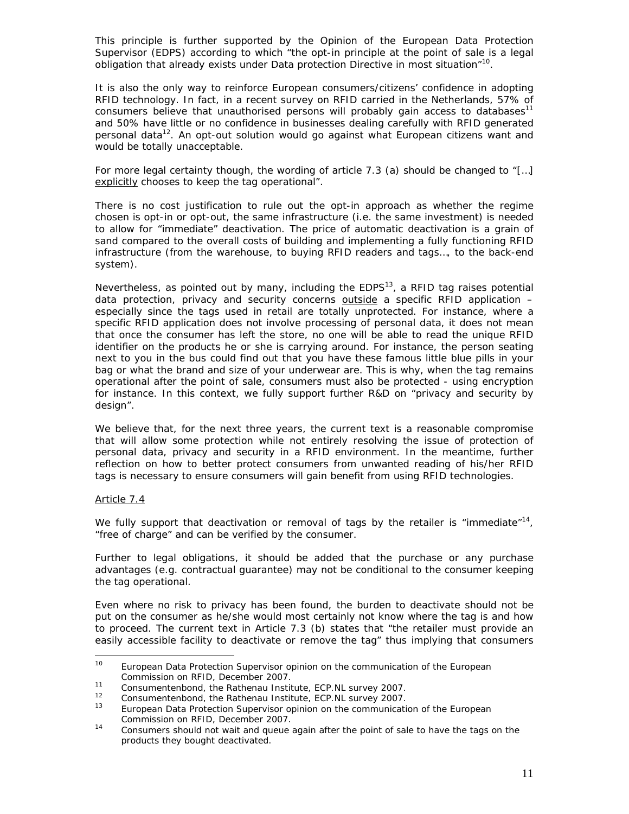This principle is further supported by the Opinion of the European Data Protection Supervisor (EDPS) according to which "*the opt-in principle at the point of sale is a legal obligation that already exists under Data protection Directive in most situation*"10.

It is also the only way to reinforce European consumers/citizens' confidence in adopting RFID technology. In fact, in a recent survey on RFID carried in the Netherlands, 57% of consumers believe that unauthorised persons will probably gain access to databases<sup>11</sup> and 50% have little or no confidence in businesses dealing carefully with RFID generated personal data<sup>12</sup>. An opt-out solution would go against what European citizens want and would be totally unacceptable.

For more legal certainty though, the wording of article 7.3 (a) should be changed to "[…] explicitly chooses to keep the tag operational".

There is no cost justification to rule out the opt-in approach as whether the regime chosen is opt-in or opt-out, the same infrastructure (i.e. the same investment) is needed to allow for "immediate" deactivation. The price of automatic deactivation is a grain of sand compared to the overall costs of building and implementing a fully functioning RFID infrastructure (from the warehouse, to buying RFID readers and tags…, to the back-end system).

Nevertheless, as pointed out by many, including the  $EDPS<sup>13</sup>$ , a RFID tag raises potential data protection, privacy and security concerns outside a specific RFID application especially since the tags used in retail are totally unprotected. For instance, where a specific RFID application does not involve processing of personal data, it does not mean that once the consumer has left the store, no one will be able to read the unique RFID identifier on the products he or she is carrying around. For instance, the person seating next to you in the bus could find out that you have these famous little blue pills in your bag or what the brand and size of your underwear are. This is why, when the tag remains operational after the point of sale, consumers must also be protected - using encryption for instance. In this context, we fully support further R&D on "privacy and security by design".

We believe that, for the next three years, the current text is a reasonable compromise that will allow some protection while not entirely resolving the issue of protection of personal data, privacy and security in a RFID environment. In the meantime, further reflection on how to better protect consumers from unwanted reading of his/her RFID tags is necessary to ensure consumers will gain benefit from using RFID technologies.

#### Article 7.4

We fully support that deactivation or removal of tags by the retailer is "immediate"<sup>14</sup>, "free of charge" and can be verified by the consumer.

Further to legal obligations, it should be added that the purchase or any purchase advantages (e.g. contractual guarantee) may not be conditional to the consumer keeping the tag operational.

Even where no risk to privacy has been found, the burden to deactivate should not be put on the consumer as he/she would most certainly not know where the tag is and how to proceed. The current text in Article 7.3 (b) states that "*the retailer must provide an easily accessible facility to deactivate or remove the tag*" thus implying that consumers

<sup>&</sup>lt;sup>10</sup> European Data Protection Supervisor opinion on the communication of the European Commission on RFID, December 2007.<br>
11 Consumentenbond, the Rathenau Institute, ECP.NL survey 2007.<br>
12 Consumentenbond, the Rathenau Institute, ECP.NL survey 2007.<br>
13 European Data Protection Supervisor opinion on the co

Commission on RFID, December 2007. 14 Consumers should not wait and queue again after the point of sale to have the tags on the

products they bought deactivated.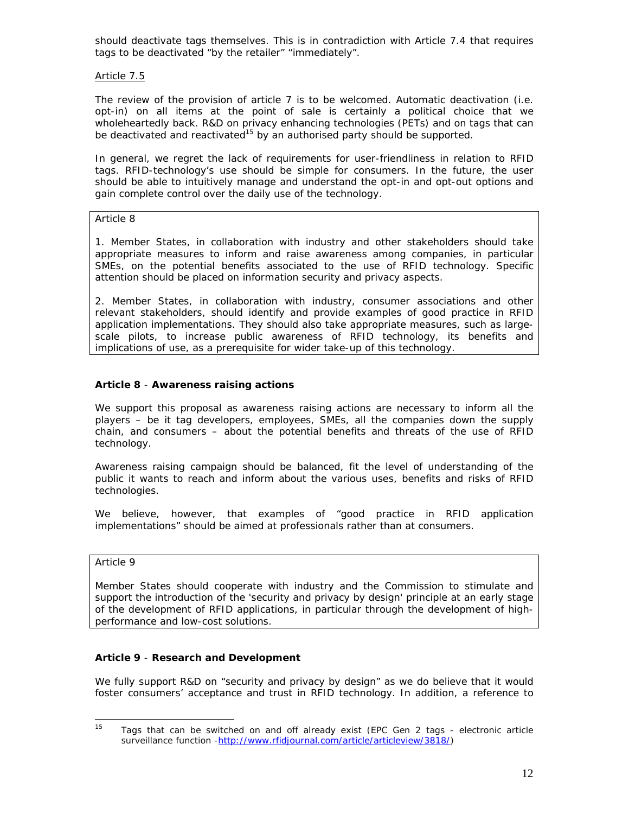should deactivate tags themselves. This is in contradiction with Article 7.4 that requires tags to be deactivated "*by the retailer*" "*immediately*".

# Article 7.5

The review of the provision of article 7 is to be welcomed. Automatic deactivation (i.e. opt-in) on all items at the point of sale is certainly a political choice that we wholeheartedly back. R&D on privacy enhancing technologies (PETs) and on tags that can be deactivated and reactivated<sup>15</sup> by an authorised party should be supported.

In general, we regret the lack of requirements for user-friendliness in relation to RFID tags. RFID-technology's use should be simple for consumers. In the future, the user should be able to intuitively manage and understand the opt-in and opt-out options and gain complete control over the daily use of the technology.

#### *Article 8*

*1. Member States, in collaboration with industry and other stakeholders should take*  appropriate measures to inform and raise awareness among companies, in particular *SMEs, on the potential benefits associated to the use of RFID technology. Specific attention should be placed on information security and privacy aspects.* 

*2. Member States, in collaboration with industry, consumer associations and other relevant stakeholders, should identify and provide examples of good practice in RFID application implementations. They should also take appropriate measures, such as largescale pilots, to increase public awareness of RFID technology, its benefits and implications of use, as a prerequisite for wider take-up of this technology.* 

# **Article 8** - **Awareness raising actions**

We support this proposal as awareness raising actions are necessary to inform all the players – be it tag developers, employees, SMEs, all the companies down the supply chain, and consumers – about the potential benefits and threats of the use of RFID technology.

Awareness raising campaign should be balanced, fit the level of understanding of the public it wants to reach and inform about the various uses, benefits and risks of RFID technologies.

We believe, however, that examples of "*good practice in RFID application implementations*" should be aimed at professionals rather than at consumers.

#### *Article 9*

*Member States should cooperate with industry and the Commission to stimulate and support the introduction of the 'security and privacy by design' principle at an early stage of the development of RFID applications, in particular through the development of highperformance and low-cost solutions.*

#### **Article 9** - **Research and Development**

We fully support R&D on "*security and privacy by design*" as we do believe that it would foster consumers' acceptance and trust in RFID technology. In addition, a reference to

<sup>15</sup> 15 Tags that can be switched on and off already exist (EPC Gen 2 tags - electronic article surveillance function -http://www.rfidjournal.com/article/articleview/3818/)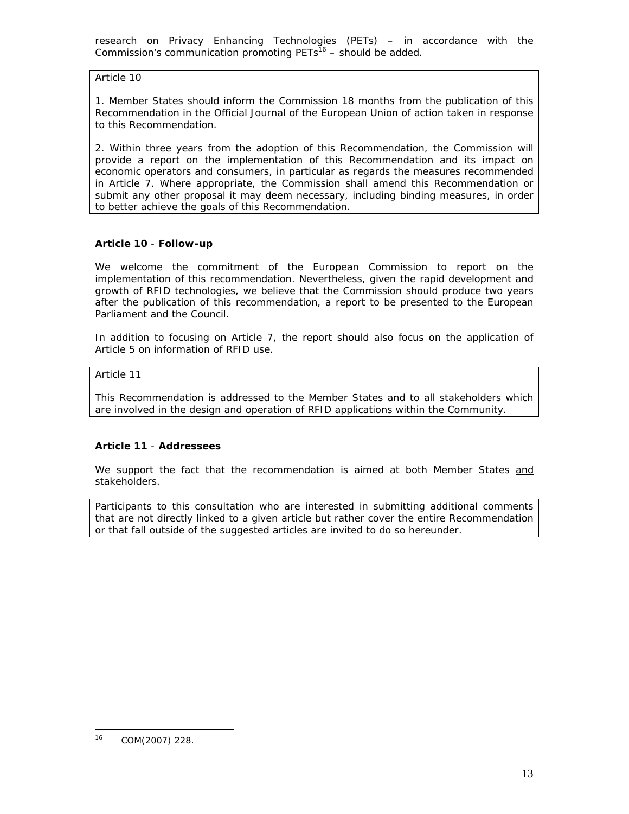research on Privacy Enhancing Technologies (PETs) – in accordance with the Commission's communication promoting  $PETs^{16}$  – should be added.

*Article 10* 

*1. Member States should inform the Commission 18 months from the publication of this Recommendation in the Official Journal of the European Union of action taken in response to this Recommendation.* 

2. Within three years from the adoption of this Recommendation, the Commission will *provide a report on the implementation of this Recommendation and its impact on economic operators and consumers, in particular as regards the measures recommended in Article 7. Where appropriate, the Commission shall amend this Recommendation or submit any other proposal it may deem necessary, including binding measures, in order to better achieve the goals of this Recommendation.*

# **Article 10** - **Follow-up**

We welcome the commitment of the European Commission to report on the implementation of this recommendation. Nevertheless, given the rapid development and growth of RFID technologies, we believe that the Commission should produce two years after the publication of this recommendation, a report to be presented to the European Parliament and the Council.

In addition to focusing on Article 7, the report should also focus on the application of Article 5 on information of RFID use.

*Article 11* 

*This Recommendation is addressed to the Member States and to all stakeholders which are involved in the design and operation of RFID applications within the Community.* 

# **Article 11** - **Addressees**

We support the fact that the recommendation is aimed at both Member States and stakeholders.

*Participants to this consultation who are interested in submitting additional comments that are not directly linked to a given article but rather cover the entire Recommendation or that fall outside of the suggested articles are invited to do so hereunder.* 

 $\overline{a}$ 

<sup>16</sup> COM(2007) 228.